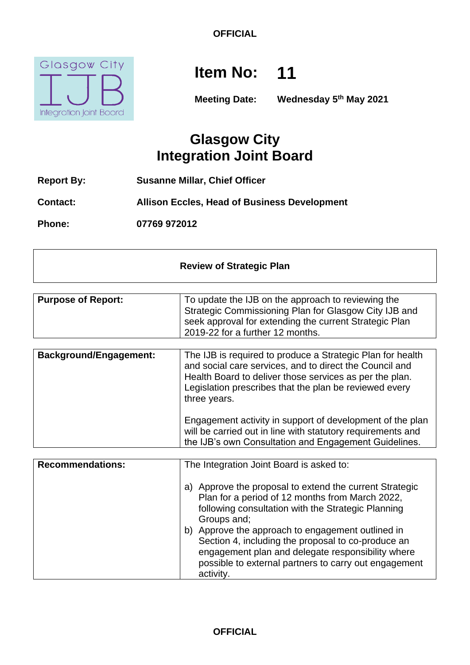

# **Item No: 11**

**Meeting Date: Wednesday 5th May 2021**

## **Glasgow City Integration Joint Board**

**Report By: Susanne Millar, Chief Officer**

**Contact: Allison Eccles, Head of Business Development**

**Phone: 07769 972012**

| <b>Review of Strategic Plan</b> |                                                                                                                                                                                                           |
|---------------------------------|-----------------------------------------------------------------------------------------------------------------------------------------------------------------------------------------------------------|
| <b>Purpose of Report:</b>       | To update the IJB on the approach to reviewing the<br>Strategic Commissioning Plan for Glasgow City IJB and<br>seek approval for extending the current Strategic Plan<br>2019-22 for a further 12 months. |

| <b>Background/Engagement:</b> | The IJB is required to produce a Strategic Plan for health<br>and social care services, and to direct the Council and<br>Health Board to deliver those services as per the plan.<br>Legislation prescribes that the plan be reviewed every<br>three years. |
|-------------------------------|------------------------------------------------------------------------------------------------------------------------------------------------------------------------------------------------------------------------------------------------------------|
|                               | Engagement activity in support of development of the plan<br>will be carried out in line with statutory requirements and<br>the IJB's own Consultation and Engagement Guidelines.                                                                          |

| <b>Recommendations:</b> | The Integration Joint Board is asked to:                                                                                                                                                                                                                                                                                                                                                                                 |
|-------------------------|--------------------------------------------------------------------------------------------------------------------------------------------------------------------------------------------------------------------------------------------------------------------------------------------------------------------------------------------------------------------------------------------------------------------------|
|                         | a) Approve the proposal to extend the current Strategic<br>Plan for a period of 12 months from March 2022,<br>following consultation with the Strategic Planning<br>Groups and;<br>Approve the approach to engagement outlined in<br>b)<br>Section 4, including the proposal to co-produce an<br>engagement plan and delegate responsibility where<br>possible to external partners to carry out engagement<br>activity. |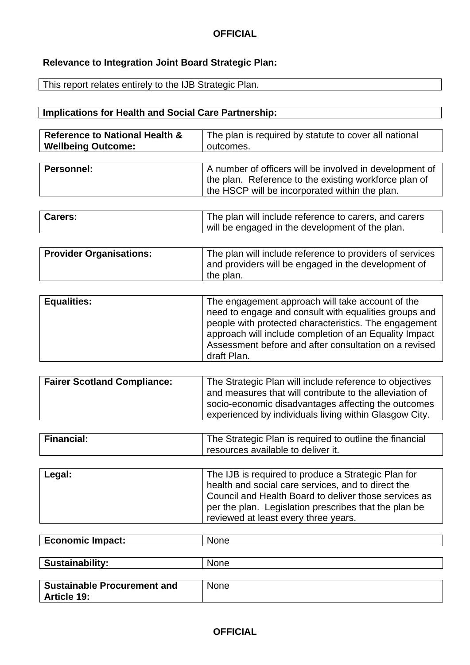## **Relevance to Integration Joint Board Strategic Plan:**

This report relates entirely to the IJB Strategic Plan.

## **Implications for Health and Social Care Partnership:**

| <b>Reference to National Health &amp;</b> | The plan is required by statute to cover all national |
|-------------------------------------------|-------------------------------------------------------|
| <b>Wellbeing Outcome:</b>                 | outcomes.                                             |

| Personnel: | A number of officers will be involved in development of |
|------------|---------------------------------------------------------|
|            | the plan. Reference to the existing workforce plan of   |
|            | the HSCP will be incorporated within the plan.          |
|            |                                                         |

| <b>Carers:</b> | The plan will include reference to carers, and carers |
|----------------|-------------------------------------------------------|
|                | will be engaged in the development of the plan.       |

| <b>Provider Organisations:</b> | The plan will include reference to providers of services |
|--------------------------------|----------------------------------------------------------|
|                                | and providers will be engaged in the development of      |
|                                | the plan.                                                |

| <b>Equalities:</b> | The engagement approach will take account of the<br>need to engage and consult with equalities groups and<br>people with protected characteristics. The engagement<br>approach will include completion of an Equality Impact |
|--------------------|------------------------------------------------------------------------------------------------------------------------------------------------------------------------------------------------------------------------------|
|                    | Assessment before and after consultation on a revised<br>draft Plan.                                                                                                                                                         |

| <b>Fairer Scotland Compliance:</b> | The Strategic Plan will include reference to objectives<br>and measures that will contribute to the alleviation of |
|------------------------------------|--------------------------------------------------------------------------------------------------------------------|
|                                    | socio-economic disadvantages affecting the outcomes<br>experienced by individuals living within Glasgow City.      |

| <b>Financial:</b> | The Strategic Plan is required to outline the financial |
|-------------------|---------------------------------------------------------|
|                   | resources available to deliver it.                      |

|  | Legal: | The IJB is required to produce a Strategic Plan for<br>health and social care services, and to direct the<br>Council and Health Board to deliver those services as<br>per the plan. Legislation prescribes that the plan be<br>reviewed at least every three years. |
|--|--------|---------------------------------------------------------------------------------------------------------------------------------------------------------------------------------------------------------------------------------------------------------------------|
|--|--------|---------------------------------------------------------------------------------------------------------------------------------------------------------------------------------------------------------------------------------------------------------------------|

| <b>Economic Impact:</b> | <b>None</b> |
|-------------------------|-------------|
|                         |             |
| <b>Sustainability:</b>  | <b>None</b> |

| <b>Sustainable Procurement and</b> | None |
|------------------------------------|------|
| <b>Article 19:</b>                 |      |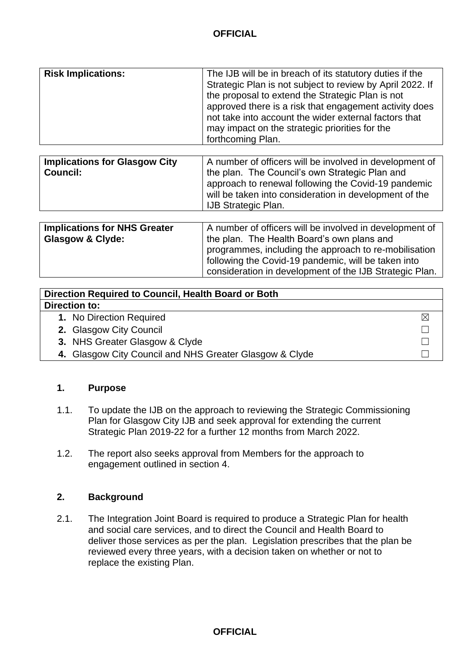| <b>Risk Implications:</b> | The IJB will be in breach of its statutory duties if the<br>Strategic Plan is not subject to review by April 2022. If<br>the proposal to extend the Strategic Plan is not<br>approved there is a risk that engagement activity does<br>not take into account the wider external factors that |
|---------------------------|----------------------------------------------------------------------------------------------------------------------------------------------------------------------------------------------------------------------------------------------------------------------------------------------|
|                           | may impact on the strategic priorities for the                                                                                                                                                                                                                                               |
|                           | forthcoming Plan.                                                                                                                                                                                                                                                                            |

| <b>Implications for Glasgow City</b><br><b>Council:</b> | A number of officers will be involved in development of<br>the plan. The Council's own Strategic Plan and<br>approach to renewal following the Covid-19 pandemic<br>will be taken into consideration in development of the<br><b>IJB Strategic Plan.</b> |
|---------------------------------------------------------|----------------------------------------------------------------------------------------------------------------------------------------------------------------------------------------------------------------------------------------------------------|
| <b>Implications for NHS Greater</b>                     | A number of officers will be involved in development of                                                                                                                                                                                                  |

| <b>Implications for NHS Greater</b> | A number of officers will be involved in development of |  |  |
|-------------------------------------|---------------------------------------------------------|--|--|
| <b>Glasgow &amp; Clyde:</b>         | the plan. The Health Board's own plans and              |  |  |
|                                     | programmes, including the approach to re-mobilisation   |  |  |
|                                     | following the Covid-19 pandemic, will be taken into     |  |  |
|                                     | consideration in development of the IJB Strategic Plan. |  |  |
|                                     |                                                         |  |  |

| Direction Required to Council, Health Board or Both     |  |
|---------------------------------------------------------|--|
| <b>Direction to:</b>                                    |  |
| 1. No Direction Required                                |  |
| 2. Glasgow City Council                                 |  |
| 3. NHS Greater Glasgow & Clyde                          |  |
| 4. Glasgow City Council and NHS Greater Glasgow & Clyde |  |

#### **1. Purpose**

- 1.1. To update the IJB on the approach to reviewing the Strategic Commissioning Plan for Glasgow City IJB and seek approval for extending the current Strategic Plan 2019-22 for a further 12 months from March 2022.
- 1.2. The report also seeks approval from Members for the approach to engagement outlined in section 4.

#### **2. Background**

2.1. The Integration Joint Board is required to produce a Strategic Plan for health and social care services, and to direct the Council and Health Board to deliver those services as per the plan. Legislation prescribes that the plan be reviewed every three years, with a decision taken on whether or not to replace the existing Plan.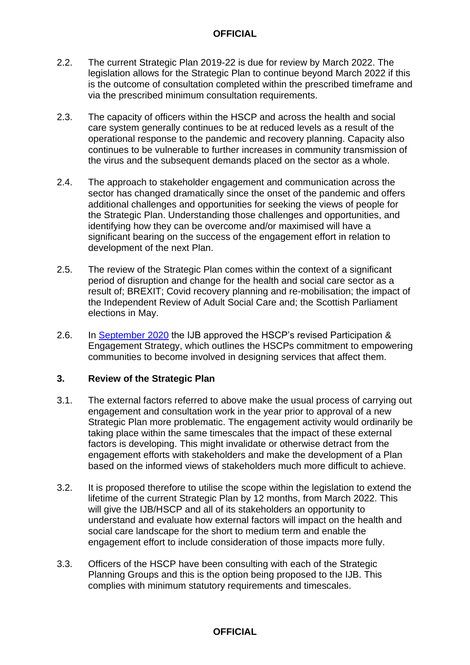- 2.2. The current Strategic Plan 2019-22 is due for review by March 2022. The legislation allows for the Strategic Plan to continue beyond March 2022 if this is the outcome of consultation completed within the prescribed timeframe and via the prescribed minimum consultation requirements.
- 2.3. The capacity of officers within the HSCP and across the health and social care system generally continues to be at reduced levels as a result of the operational response to the pandemic and recovery planning. Capacity also continues to be vulnerable to further increases in community transmission of the virus and the subsequent demands placed on the sector as a whole.
- 2.4. The approach to stakeholder engagement and communication across the sector has changed dramatically since the onset of the pandemic and offers additional challenges and opportunities for seeking the views of people for the Strategic Plan. Understanding those challenges and opportunities, and identifying how they can be overcome and/or maximised will have a significant bearing on the success of the engagement effort in relation to development of the next Plan.
- 2.5. The review of the Strategic Plan comes within the context of a significant period of disruption and change for the health and social care sector as a result of; BREXIT; Covid recovery planning and re-mobilisation; the impact of the Independent Review of Adult Social Care and; the Scottish Parliament elections in May.
- 2.6. In [September 2020](https://glasgowcity.hscp.scot/sites/default/files/publications/ITEM%20No%2014%20-%20Review%20of%20Participation%20and%20Engagement%20-%20Participation%20and%20Engagement%20Strategy_0.pdf) the IJB approved the HSCP's revised Participation & Engagement Strategy, which outlines the HSCPs commitment to empowering communities to become involved in designing services that affect them.

#### **3. Review of the Strategic Plan**

- 3.1. The external factors referred to above make the usual process of carrying out engagement and consultation work in the year prior to approval of a new Strategic Plan more problematic. The engagement activity would ordinarily be taking place within the same timescales that the impact of these external factors is developing. This might invalidate or otherwise detract from the engagement efforts with stakeholders and make the development of a Plan based on the informed views of stakeholders much more difficult to achieve.
- 3.2. It is proposed therefore to utilise the scope within the legislation to extend the lifetime of the current Strategic Plan by 12 months, from March 2022. This will give the IJB/HSCP and all of its stakeholders an opportunity to understand and evaluate how external factors will impact on the health and social care landscape for the short to medium term and enable the engagement effort to include consideration of those impacts more fully.
- 3.3. Officers of the HSCP have been consulting with each of the Strategic Planning Groups and this is the option being proposed to the IJB. This complies with minimum statutory requirements and timescales.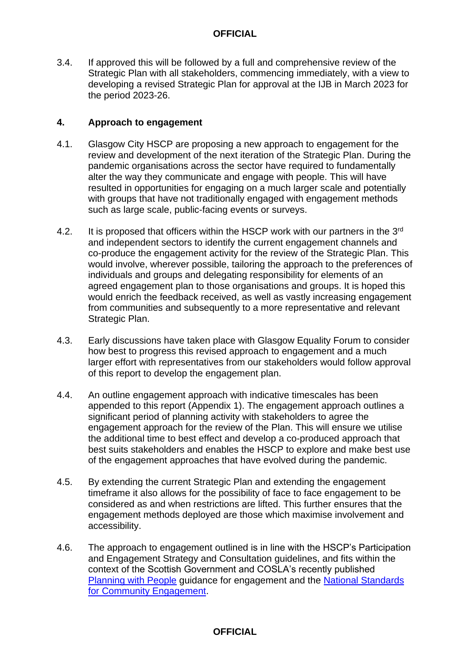3.4. If approved this will be followed by a full and comprehensive review of the Strategic Plan with all stakeholders, commencing immediately, with a view to developing a revised Strategic Plan for approval at the IJB in March 2023 for the period 2023-26.

#### **4. Approach to engagement**

- 4.1. Glasgow City HSCP are proposing a new approach to engagement for the review and development of the next iteration of the Strategic Plan. During the pandemic organisations across the sector have required to fundamentally alter the way they communicate and engage with people. This will have resulted in opportunities for engaging on a much larger scale and potentially with groups that have not traditionally engaged with engagement methods such as large scale, public-facing events or surveys.
- 4.2. It is proposed that officers within the HSCP work with our partners in the 3<sup>rd</sup> and independent sectors to identify the current engagement channels and co-produce the engagement activity for the review of the Strategic Plan. This would involve, wherever possible, tailoring the approach to the preferences of individuals and groups and delegating responsibility for elements of an agreed engagement plan to those organisations and groups. It is hoped this would enrich the feedback received, as well as vastly increasing engagement from communities and subsequently to a more representative and relevant Strategic Plan.
- 4.3. Early discussions have taken place with Glasgow Equality Forum to consider how best to progress this revised approach to engagement and a much larger effort with representatives from our stakeholders would follow approval of this report to develop the engagement plan.
- 4.4. An outline engagement approach with indicative timescales has been appended to this report (Appendix 1). The engagement approach outlines a significant period of planning activity with stakeholders to agree the engagement approach for the review of the Plan. This will ensure we utilise the additional time to best effect and develop a co-produced approach that best suits stakeholders and enables the HSCP to explore and make best use of the engagement approaches that have evolved during the pandemic.
- 4.5. By extending the current Strategic Plan and extending the engagement timeframe it also allows for the possibility of face to face engagement to be considered as and when restrictions are lifted. This further ensures that the engagement methods deployed are those which maximise involvement and accessibility.
- 4.6. The approach to engagement outlined is in line with the HSCP's Participation and Engagement Strategy and Consultation guidelines, and fits within the context of the Scottish Government and COSLA's recently published [Planning with People](https://www.gov.scot/publications/planning-people/pages/2/) guidance for engagement and the [National Standards](https://www.scdc.org.uk/what/national-standards/)  [for Community Engagement.](https://www.scdc.org.uk/what/national-standards/)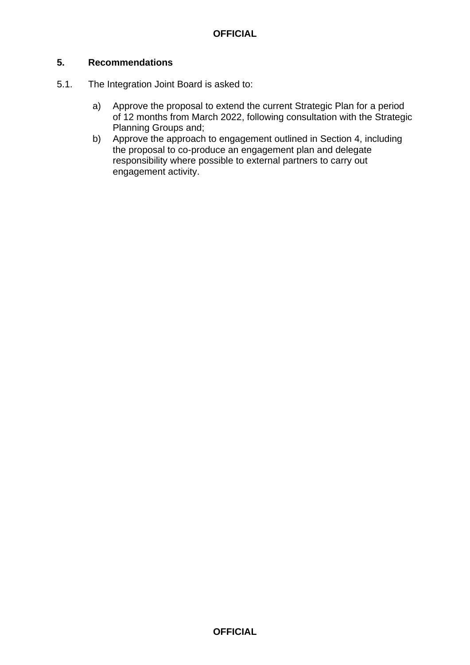#### **5. Recommendations**

- 5.1. The Integration Joint Board is asked to:
	- a) Approve the proposal to extend the current Strategic Plan for a period of 12 months from March 2022, following consultation with the Strategic Planning Groups and;
	- b) Approve the approach to engagement outlined in Section 4, including the proposal to co-produce an engagement plan and delegate responsibility where possible to external partners to carry out engagement activity.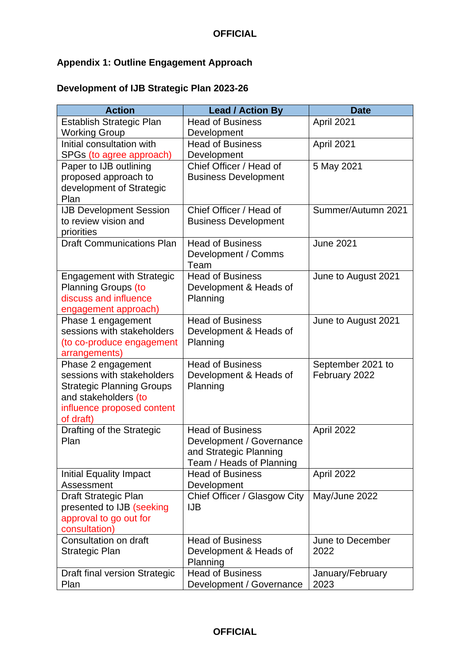## **Appendix 1: Outline Engagement Approach**

## **Development of IJB Strategic Plan 2023-26**

| <b>Action</b>                                                                                                                                           | <b>Lead / Action By</b>                                                                                   | <b>Date</b>                        |
|---------------------------------------------------------------------------------------------------------------------------------------------------------|-----------------------------------------------------------------------------------------------------------|------------------------------------|
| <b>Establish Strategic Plan</b><br><b>Working Group</b>                                                                                                 | <b>Head of Business</b><br>Development                                                                    | April 2021                         |
| Initial consultation with<br>SPGs (to agree approach)                                                                                                   | <b>Head of Business</b><br>Development                                                                    | April 2021                         |
| Paper to IJB outlining<br>proposed approach to<br>development of Strategic<br>Plan                                                                      | Chief Officer / Head of<br><b>Business Development</b>                                                    | 5 May 2021                         |
| <b>IJB Development Session</b><br>to review vision and<br>priorities                                                                                    | Chief Officer / Head of<br><b>Business Development</b>                                                    | Summer/Autumn 2021                 |
| <b>Draft Communications Plan</b>                                                                                                                        | <b>Head of Business</b><br>Development / Comms<br>Team                                                    | <b>June 2021</b>                   |
| <b>Engagement with Strategic</b><br>Planning Groups (to<br>discuss and influence<br>engagement approach)                                                | <b>Head of Business</b><br>Development & Heads of<br>Planning                                             | June to August 2021                |
| Phase 1 engagement<br>sessions with stakeholders<br>(to co-produce engagement<br>arrangements)                                                          | <b>Head of Business</b><br>Development & Heads of<br>Planning                                             | June to August 2021                |
| Phase 2 engagement<br>sessions with stakeholders<br><b>Strategic Planning Groups</b><br>and stakeholders (to<br>influence proposed content<br>of draft) | <b>Head of Business</b><br>Development & Heads of<br>Planning                                             | September 2021 to<br>February 2022 |
| Drafting of the Strategic<br>Plan                                                                                                                       | <b>Head of Business</b><br>Development / Governance<br>and Strategic Planning<br>Team / Heads of Planning | April 2022                         |
| <b>Initial Equality Impact</b><br>Assessment                                                                                                            | <b>Head of Business</b><br>Development                                                                    | April 2022                         |
| Draft Strategic Plan<br>presented to IJB (seeking<br>approval to go out for<br>consultation)                                                            | Chief Officer / Glasgow City<br><b>IJB</b>                                                                | May/June 2022                      |
| Consultation on draft<br>Strategic Plan                                                                                                                 | <b>Head of Business</b><br>Development & Heads of<br>Planning                                             | June to December<br>2022           |
| Draft final version Strategic<br>Plan                                                                                                                   | <b>Head of Business</b><br>Development / Governance                                                       | January/February<br>2023           |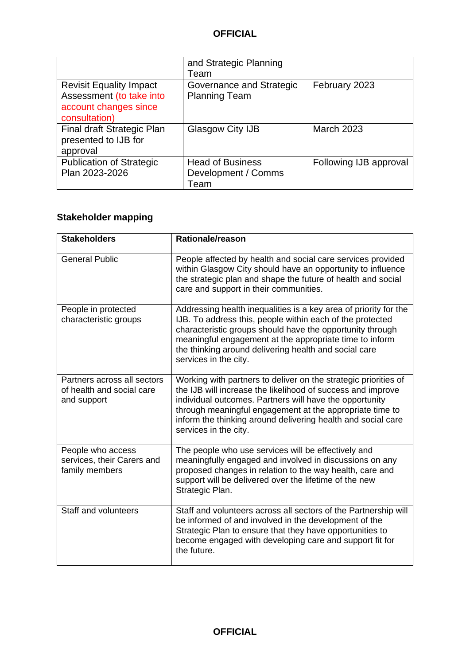|                                                                                                      | and Strategic Planning<br>Team                         |                        |
|------------------------------------------------------------------------------------------------------|--------------------------------------------------------|------------------------|
| <b>Revisit Equality Impact</b><br>Assessment (to take into<br>account changes since<br>consultation) | Governance and Strategic<br><b>Planning Team</b>       | February 2023          |
| Final draft Strategic Plan<br>presented to IJB for<br>approval                                       | Glasgow City IJB                                       | <b>March 2023</b>      |
| <b>Publication of Strategic</b><br>Plan 2023-2026                                                    | <b>Head of Business</b><br>Development / Comms<br>Team | Following IJB approval |

## **Stakeholder mapping**

| <b>Stakeholders</b>                                                     | <b>Rationale/reason</b>                                                                                                                                                                                                                                                                                                                        |
|-------------------------------------------------------------------------|------------------------------------------------------------------------------------------------------------------------------------------------------------------------------------------------------------------------------------------------------------------------------------------------------------------------------------------------|
| <b>General Public</b>                                                   | People affected by health and social care services provided<br>within Glasgow City should have an opportunity to influence<br>the strategic plan and shape the future of health and social<br>care and support in their communities.                                                                                                           |
| People in protected<br>characteristic groups                            | Addressing health inequalities is a key area of priority for the<br>IJB. To address this, people within each of the protected<br>characteristic groups should have the opportunity through<br>meaningful engagement at the appropriate time to inform<br>the thinking around delivering health and social care<br>services in the city.        |
| Partners across all sectors<br>of health and social care<br>and support | Working with partners to deliver on the strategic priorities of<br>the IJB will increase the likelihood of success and improve<br>individual outcomes. Partners will have the opportunity<br>through meaningful engagement at the appropriate time to<br>inform the thinking around delivering health and social care<br>services in the city. |
| People who access<br>services, their Carers and<br>family members       | The people who use services will be effectively and<br>meaningfully engaged and involved in discussions on any<br>proposed changes in relation to the way health, care and<br>support will be delivered over the lifetime of the new<br>Strategic Plan.                                                                                        |
| Staff and volunteers                                                    | Staff and volunteers across all sectors of the Partnership will<br>be informed of and involved in the development of the<br>Strategic Plan to ensure that they have opportunities to<br>become engaged with developing care and support fit for<br>the future.                                                                                 |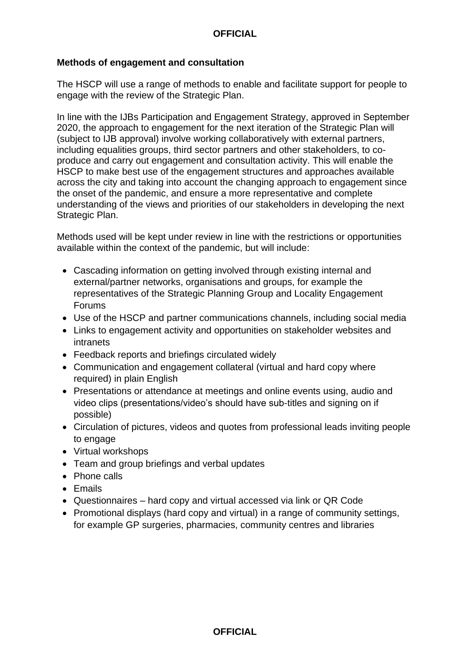#### **Methods of engagement and consultation**

The HSCP will use a range of methods to enable and facilitate support for people to engage with the review of the Strategic Plan.

In line with the IJBs Participation and Engagement Strategy, approved in September 2020, the approach to engagement for the next iteration of the Strategic Plan will (subject to IJB approval) involve working collaboratively with external partners, including equalities groups, third sector partners and other stakeholders, to coproduce and carry out engagement and consultation activity. This will enable the HSCP to make best use of the engagement structures and approaches available across the city and taking into account the changing approach to engagement since the onset of the pandemic, and ensure a more representative and complete understanding of the views and priorities of our stakeholders in developing the next Strategic Plan.

Methods used will be kept under review in line with the restrictions or opportunities available within the context of the pandemic, but will include:

- Cascading information on getting involved through existing internal and external/partner networks, organisations and groups, for example the representatives of the Strategic Planning Group and Locality Engagement Forums
- Use of the HSCP and partner communications channels, including social media
- Links to engagement activity and opportunities on stakeholder websites and intranets
- Feedback reports and briefings circulated widely
- Communication and engagement collateral (virtual and hard copy where required) in plain English
- Presentations or attendance at meetings and online events using, audio and video clips (presentations/video's should have sub-titles and signing on if possible)
- Circulation of pictures, videos and quotes from professional leads inviting people to engage
- Virtual workshops
- Team and group briefings and verbal updates
- Phone calls
- Emails
- Questionnaires hard copy and virtual accessed via link or QR Code
- Promotional displays (hard copy and virtual) in a range of community settings, for example GP surgeries, pharmacies, community centres and libraries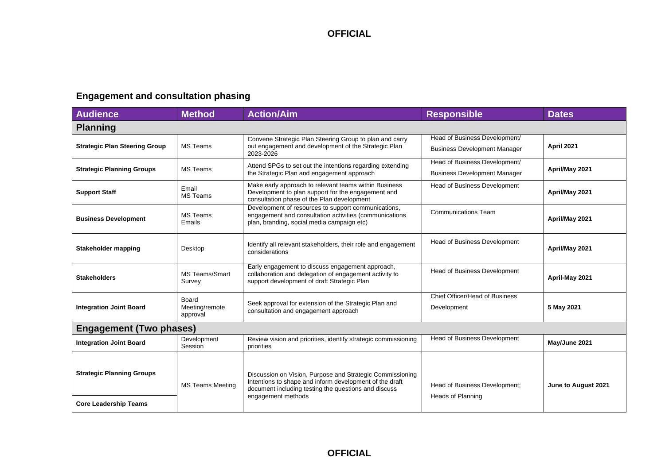## **Engagement and consultation phasing**

| <b>Audience</b>                      | <b>Method</b>                       | <b>Action/Aim</b>                                                                                                                                                            | <b>Responsible</b>                                                   | <b>Dates</b>        |
|--------------------------------------|-------------------------------------|------------------------------------------------------------------------------------------------------------------------------------------------------------------------------|----------------------------------------------------------------------|---------------------|
| <b>Planning</b>                      |                                     |                                                                                                                                                                              |                                                                      |                     |
| <b>Strategic Plan Steering Group</b> | <b>MS Teams</b>                     | Convene Strategic Plan Steering Group to plan and carry<br>out engagement and development of the Strategic Plan<br>2023-2026                                                 | Head of Business Development/<br><b>Business Development Manager</b> | April 2021          |
| <b>Strategic Planning Groups</b>     | <b>MS Teams</b>                     | Attend SPGs to set out the intentions regarding extending<br>the Strategic Plan and engagement approach                                                                      | Head of Business Development/<br><b>Business Development Manager</b> | April/May 2021      |
| <b>Support Staff</b>                 | Email<br><b>MS Teams</b>            | Make early approach to relevant teams within Business<br>Development to plan support for the engagement and<br>consultation phase of the Plan development                    | Head of Business Development                                         | April/May 2021      |
| <b>Business Development</b>          | <b>MS Teams</b><br>Emails           | Development of resources to support communications,<br>engagement and consultation activities (communications<br>plan, branding, social media campaign etc)                  | <b>Communications Team</b>                                           | April/May 2021      |
| Stakeholder mapping                  | Desktop                             | Identify all relevant stakeholders, their role and engagement<br>considerations                                                                                              | <b>Head of Business Development</b>                                  | April/May 2021      |
| <b>Stakeholders</b>                  | <b>MS Teams/Smart</b><br>Survey     | Early engagement to discuss engagement approach,<br>collaboration and delegation of engagement activity to<br>support development of draft Strategic Plan                    | <b>Head of Business Development</b>                                  | April-May 2021      |
| <b>Integration Joint Board</b>       | Board<br>Meeting/remote<br>approval | Seek approval for extension of the Strategic Plan and<br>consultation and engagement approach                                                                                | Chief Officer/Head of Business<br>Development                        | 5 May 2021          |
| <b>Engagement (Two phases)</b>       |                                     |                                                                                                                                                                              |                                                                      |                     |
| <b>Integration Joint Board</b>       | Development<br>Session              | Review vision and priorities, identify strategic commissioning<br>priorities                                                                                                 | <b>Head of Business Development</b>                                  | May/June 2021       |
| <b>Strategic Planning Groups</b>     | <b>MS Teams Meeting</b>             | Discussion on Vision, Purpose and Strategic Commissioning<br>Intentions to shape and inform development of the draft<br>document including testing the questions and discuss | Head of Business Development;                                        | June to August 2021 |
| <b>Core Leadership Teams</b>         |                                     | engagement methods                                                                                                                                                           | <b>Heads of Planning</b>                                             |                     |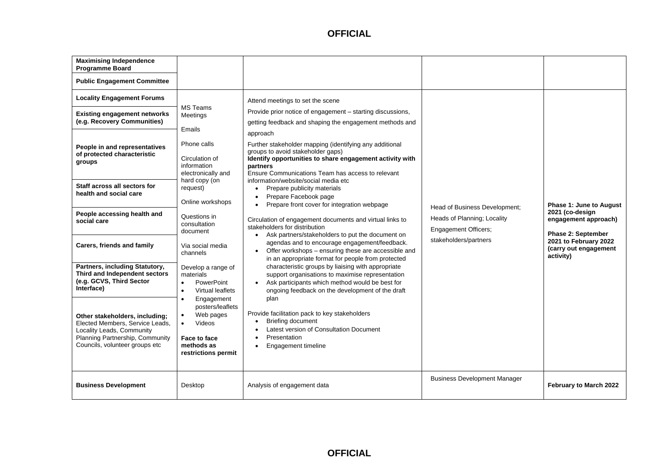| <b>Maximising Independence</b><br>Programme Board<br><b>Public Engagement Committee</b>                                                                                                                                                                                                                                                                                                                                                                                                                                                                                                                     |                                                                                                                                                                                                                                                                                                                                                                                                                                                                                              |                                                                                                                                                                                                                                                                                                                                                                                                                                                                                                                                                                                                                                                                                                                                                                                                                                                                                                                                                                                                                                                                                                                                                                                                                                                                                                 |                                                                                                               |                                                                                                                                                                       |
|-------------------------------------------------------------------------------------------------------------------------------------------------------------------------------------------------------------------------------------------------------------------------------------------------------------------------------------------------------------------------------------------------------------------------------------------------------------------------------------------------------------------------------------------------------------------------------------------------------------|----------------------------------------------------------------------------------------------------------------------------------------------------------------------------------------------------------------------------------------------------------------------------------------------------------------------------------------------------------------------------------------------------------------------------------------------------------------------------------------------|-------------------------------------------------------------------------------------------------------------------------------------------------------------------------------------------------------------------------------------------------------------------------------------------------------------------------------------------------------------------------------------------------------------------------------------------------------------------------------------------------------------------------------------------------------------------------------------------------------------------------------------------------------------------------------------------------------------------------------------------------------------------------------------------------------------------------------------------------------------------------------------------------------------------------------------------------------------------------------------------------------------------------------------------------------------------------------------------------------------------------------------------------------------------------------------------------------------------------------------------------------------------------------------------------|---------------------------------------------------------------------------------------------------------------|-----------------------------------------------------------------------------------------------------------------------------------------------------------------------|
| <b>Locality Engagement Forums</b><br><b>Existing engagement networks</b><br>(e.g. Recovery Communities)<br>People in and representatives<br>of protected characteristic<br>groups<br>Staff across all sectors for<br>health and social care<br>People accessing health and<br>social care<br>Carers, friends and family<br>Partners, including Statutory,<br>Third and Independent sectors<br>(e.g. GCVS, Third Sector<br>Interface)<br>Other stakeholders, including;<br>Elected Members, Service Leads,<br>Locality Leads, Community<br>Planning Partnership, Community<br>Councils, volunteer groups etc | MS Teams<br>Meetings<br>Emails<br>Phone calls<br>Circulation of<br>information<br>electronically and<br>hard copy (on<br>request)<br>Online workshops<br>Questions in<br>consultation<br>document<br>Via social media<br>channels<br>Develop a range of<br>materials<br>$\bullet$<br><b>PowerPoint</b><br>Virtual leaflets<br>$\bullet$<br>Engagement<br>$\bullet$<br>posters/leaflets<br>Web pages<br>$\bullet$<br>Videos<br>$\bullet$<br>Face to face<br>methods as<br>restrictions permit | Attend meetings to set the scene<br>Provide prior notice of engagement - starting discussions,<br>getting feedback and shaping the engagement methods and<br>approach<br>Further stakeholder mapping (identifying any additional<br>groups to avoid stakeholder gaps)<br>Identify opportunities to share engagement activity with<br>partners<br>Ensure Communications Team has access to relevant<br>information/website/social media etc<br>Prepare publicity materials<br>Prepare Facebook page<br>$\bullet$<br>Prepare front cover for integration webpage<br>Circulation of engagement documents and virtual links to<br>stakeholders for distribution<br>Ask partners/stakeholders to put the document on<br>$\bullet$<br>agendas and to encourage engagement/feedback.<br>Offer workshops - ensuring these are accessible and<br>$\bullet$<br>in an appropriate format for people from protected<br>characteristic groups by liaising with appropriate<br>support organisations to maximise representation<br>Ask participants which method would be best for<br>ongoing feedback on the development of the draft<br>plan<br>Provide facilitation pack to key stakeholders<br><b>Briefing document</b><br>Latest version of Consultation Document<br>Presentation<br>Engagement timeline | Head of Business Development;<br>Heads of Planning; Locality<br>Engagement Officers;<br>stakeholders/partners | <b>Phase 1: June to August</b><br>2021 (co-design<br>engagement approach)<br><b>Phase 2: September</b><br>2021 to February 2022<br>(carry out engagement<br>activity) |
| <b>Business Development</b>                                                                                                                                                                                                                                                                                                                                                                                                                                                                                                                                                                                 | Desktop                                                                                                                                                                                                                                                                                                                                                                                                                                                                                      | Analysis of engagement data                                                                                                                                                                                                                                                                                                                                                                                                                                                                                                                                                                                                                                                                                                                                                                                                                                                                                                                                                                                                                                                                                                                                                                                                                                                                     | <b>Business Development Manager</b>                                                                           | February to March 2022                                                                                                                                                |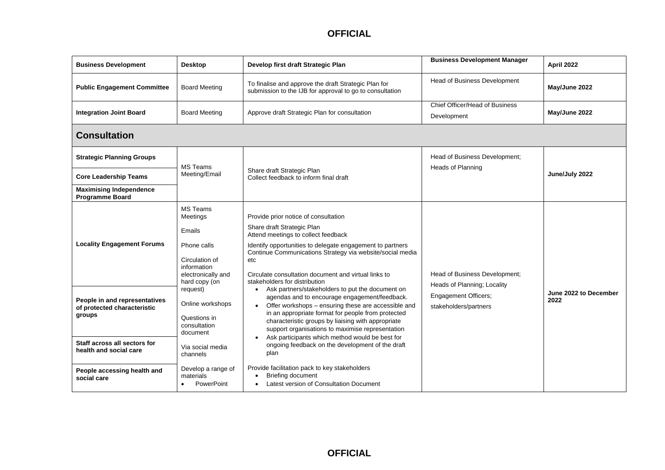| <b>Business Development</b>                                                                            | <b>Desktop</b>                                                                                                                      | Develop first draft Strategic Plan                                                                                                                                                                                                                                                                                                                                                       | <b>Business Development Manager</b>                          | April 2022                    |
|--------------------------------------------------------------------------------------------------------|-------------------------------------------------------------------------------------------------------------------------------------|------------------------------------------------------------------------------------------------------------------------------------------------------------------------------------------------------------------------------------------------------------------------------------------------------------------------------------------------------------------------------------------|--------------------------------------------------------------|-------------------------------|
| <b>Public Engagement Committee</b>                                                                     | <b>Board Meeting</b>                                                                                                                | To finalise and approve the draft Strategic Plan for<br>submission to the IJB for approval to go to consultation                                                                                                                                                                                                                                                                         | <b>Head of Business Development</b>                          | May/June 2022                 |
| <b>Integration Joint Board</b>                                                                         | <b>Board Meeting</b>                                                                                                                | Approve draft Strategic Plan for consultation                                                                                                                                                                                                                                                                                                                                            | Chief Officer/Head of Business<br>Development                | May/June 2022                 |
| <b>Consultation</b>                                                                                    |                                                                                                                                     |                                                                                                                                                                                                                                                                                                                                                                                          |                                                              |                               |
| <b>Strategic Planning Groups</b>                                                                       | <b>MS Teams</b>                                                                                                                     |                                                                                                                                                                                                                                                                                                                                                                                          | Head of Business Development;                                |                               |
| <b>Core Leadership Teams</b>                                                                           | Meeting/Email                                                                                                                       | Share draft Strategic Plan<br>Collect feedback to inform final draft                                                                                                                                                                                                                                                                                                                     | <b>Heads of Planning</b>                                     | June/July 2022                |
| <b>Maximising Independence</b><br><b>Programme Board</b>                                               |                                                                                                                                     |                                                                                                                                                                                                                                                                                                                                                                                          |                                                              |                               |
| <b>Locality Engagement Forums</b>                                                                      | <b>MS Teams</b><br><b>Meetings</b><br>Emails<br>Phone calls<br>Circulation of<br>information<br>electronically and<br>hard copy (on | Provide prior notice of consultation<br>Share draft Strategic Plan<br>Attend meetings to collect feedback<br>Identify opportunities to delegate engagement to partners<br>Continue Communications Strategy via website/social media<br>etc<br>Circulate consultation document and virtual links to<br>stakeholders for distribution                                                      | Head of Business Development;<br>Heads of Planning; Locality |                               |
| People in and representatives<br>of protected characteristic<br>groups<br>Staff across all sectors for | request)<br>Online workshops<br>Questions in<br>consultation<br>document                                                            | Ask partners/stakeholders to put the document on<br>$\bullet$<br>agendas and to encourage engagement/feedback.<br>Offer workshops - ensuring these are accessible and<br>in an appropriate format for people from protected<br>characteristic groups by liaising with appropriate<br>support organisations to maximise representation<br>Ask participants which method would be best for | <b>Engagement Officers;</b><br>stakeholders/partners         | June 2022 to December<br>2022 |
| health and social care                                                                                 | Via social media<br>channels                                                                                                        | ongoing feedback on the development of the draft<br>plan                                                                                                                                                                                                                                                                                                                                 |                                                              |                               |
| People accessing health and<br>social care                                                             | Develop a range of<br>materials<br>PowerPoint<br>$\bullet$                                                                          | Provide facilitation pack to key stakeholders<br><b>Briefing document</b><br>Latest version of Consultation Document<br>$\bullet$                                                                                                                                                                                                                                                        |                                                              |                               |